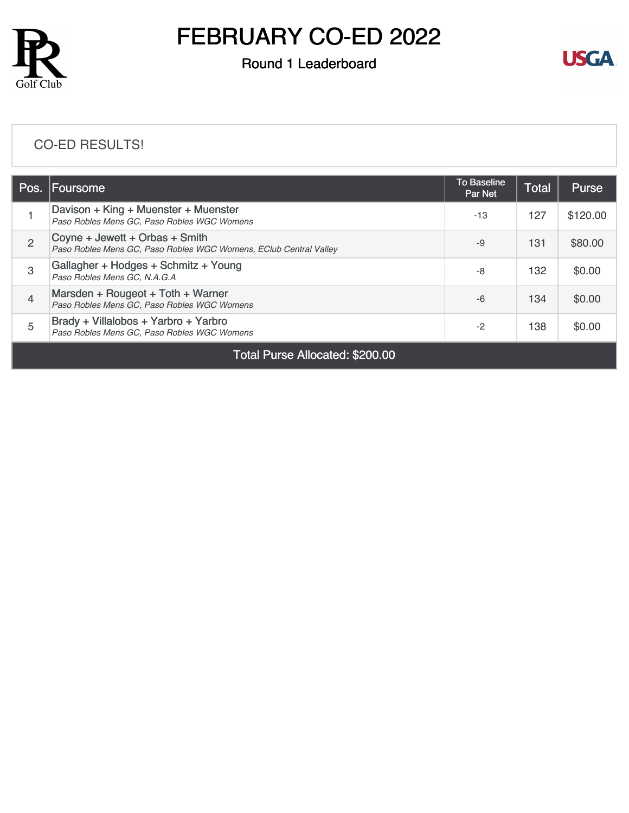

# FEBRUARY CO-ED 2022

### Round 1 Leaderboard



### [CO-ED RESULTS!](https://cdn2.golfgenius.com/v2tournaments/8247675050837196475?called_from=&round_index=1)

| Foursome                                                                                            | <b>To Baseline</b><br>Par Net | <b>Total</b> | <b>Purse</b> |
|-----------------------------------------------------------------------------------------------------|-------------------------------|--------------|--------------|
| Davison + King + Muenster + Muenster<br>Paso Robles Mens GC, Paso Robles WGC Womens                 | $-13$                         | 127          | \$120.00     |
| Coyne + Jewett + Orbas + Smith<br>Paso Robles Mens GC, Paso Robles WGC Womens, EClub Central Valley | $-9$                          | 131          | \$80.00      |
| Gallagher + Hodges + Schmitz + Young<br>Paso Robles Mens GC, N.A.G.A                                | -8                            | 132          | \$0.00       |
| Marsden + Rougeot + Toth + Warner<br>Paso Robles Mens GC, Paso Robles WGC Womens                    | -6                            | 134          | \$0.00       |
| Brady + Villalobos + Yarbro + Yarbro<br>Paso Robles Mens GC, Paso Robles WGC Womens                 | $-2$                          | 138          | \$0.00       |
|                                                                                                     |                               |              |              |

Total Purse Allocated: \$200.00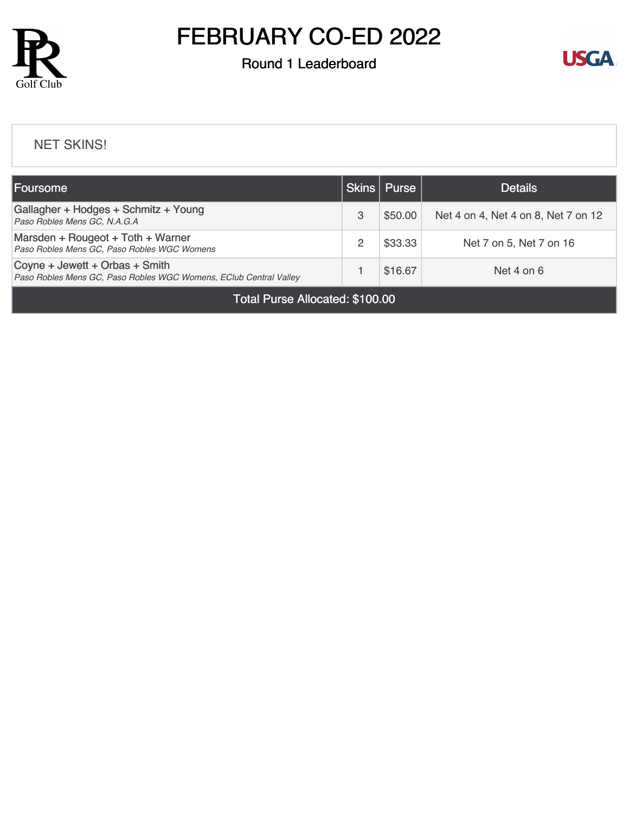

# FEBRUARY CO-ED 2022

## Round 1 Leaderboard



#### [NET SKINS!](https://cdn2.golfgenius.com/v2tournaments/8247687642540457661?called_from=&round_index=1)

| Foursome                                                                                            | Skins | Purse   | <b>Details</b>                      |  |  |
|-----------------------------------------------------------------------------------------------------|-------|---------|-------------------------------------|--|--|
| Gallagher + Hodges + Schmitz + Young<br>Paso Robles Mens GC, N.A.G.A                                | 3     | \$50.00 | Net 4 on 4, Net 4 on 8, Net 7 on 12 |  |  |
| Marsden + Rougeot + Toth + Warner<br>Paso Robles Mens GC, Paso Robles WGC Womens                    |       | \$33.33 | Net 7 on 5, Net 7 on 16             |  |  |
| Coyne + Jewett + Orbas + Smith<br>Paso Robles Mens GC, Paso Robles WGC Womens, EClub Central Valley |       | \$16.67 | Net 4 on $6$                        |  |  |
| Total Purse Allocated: \$100.00                                                                     |       |         |                                     |  |  |